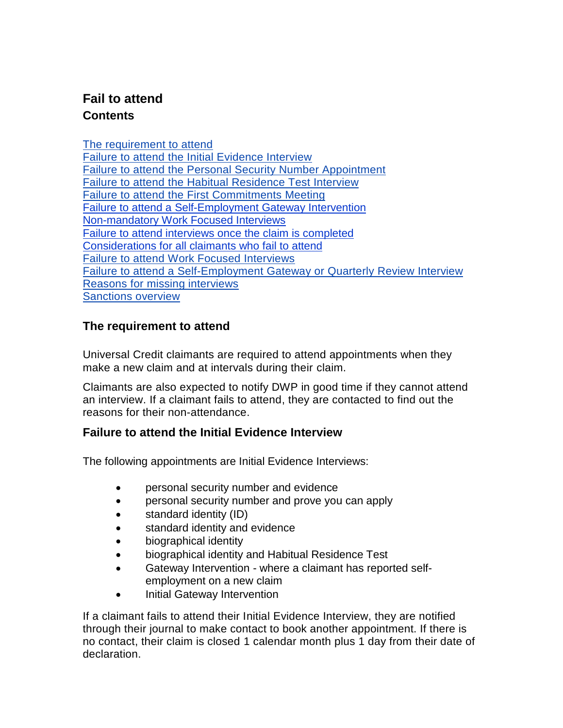# **Fail to attend Contents**

[The requirement to attend](#page-0-0) Failure to attend [the Initial Evidence Interview](#page-0-1) Failure to attend [the Personal Security Number Appointment](#page-1-0) Failure to attend the [Habitual Residence Test Interview](#page-1-1) Failure to attend the [First Commitments Meeting](#page-1-2) [Failure to attend a Self-Employment](#page-2-0) Gateway Intervention [Non-mandatory Work](#page-2-1) Focused Interviews [Failure to attend interviews once the claim is completed](#page-2-2) [Considerations for all claimants](#page-2-3) who fail to attend [Failure to attend Work Focused Interviews](#page-3-0) [Failure to attend a Self-Employment Gateway or Quarterly Review Interview](#page-4-0) [Reasons for missing interviews](#page-4-1) [Sanctions overview](#page-4-2)

# <span id="page-0-0"></span>**The requirement to attend**

Universal Credit claimants are required to attend appointments when they make a new claim and at intervals during their claim.

Claimants are also expected to notify DWP in good time if they cannot attend an interview. If a claimant fails to attend, they are contacted to find out the reasons for their non-attendance.

# <span id="page-0-1"></span>**Failure to attend the Initial Evidence Interview**

The following appointments are Initial Evidence Interviews:

- personal security number and evidence
- personal security number and prove you can apply
- standard identity (ID)
- standard identity and evidence
- biographical identity
- biographical identity and Habitual Residence Test
- Gateway Intervention where a claimant has reported selfemployment on a new claim
- Initial Gateway Intervention

If a claimant fails to attend their Initial Evidence Interview, they are notified through their journal to make contact to book another appointment. If there is no contact, their claim is closed 1 calendar month plus 1 day from their date of declaration.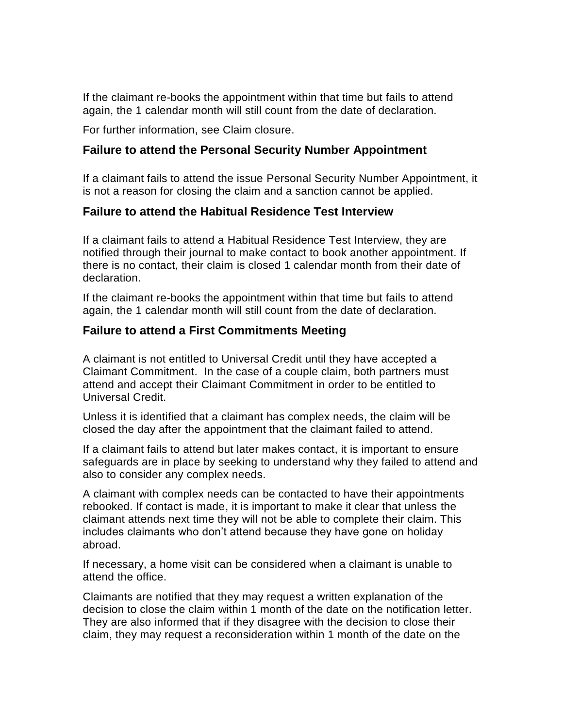If the claimant re-books the appointment within that time but fails to attend again, the 1 calendar month will still count from the date of declaration.

For further information, see Claim closure.

#### <span id="page-1-0"></span>**Failure to attend the Personal Security Number Appointment**

If a claimant fails to attend the issue Personal Security Number Appointment, it is not a reason for closing the claim and a sanction cannot be applied.

#### <span id="page-1-1"></span>**Failure to attend the Habitual Residence Test Interview**

If a claimant fails to attend a Habitual Residence Test Interview, they are notified through their journal to make contact to book another appointment. If there is no contact, their claim is closed 1 calendar month from their date of declaration.

If the claimant re-books the appointment within that time but fails to attend again, the 1 calendar month will still count from the date of declaration.

#### <span id="page-1-2"></span>**Failure to attend a First Commitments Meeting**

A claimant is not entitled to Universal Credit until they have accepted a Claimant Commitment. In the case of a couple claim, both partners must attend and accept their Claimant Commitment in order to be entitled to Universal Credit.

Unless it is identified that a claimant has complex needs, the claim will be closed the day after the appointment that the claimant failed to attend.

If a claimant fails to attend but later makes contact, it is important to ensure safeguards are in place by seeking to understand why they failed to attend and also to consider any complex needs.

A claimant with complex needs can be contacted to have their appointments rebooked. If contact is made, it is important to make it clear that unless the claimant attends next time they will not be able to complete their claim. This includes claimants who don't attend because they have gone on holiday abroad.

If necessary, a home visit can be considered when a claimant is unable to attend the office.

Claimants are notified that they may request a written explanation of the decision to close the claim within 1 month of the date on the notification letter. They are also informed that if they disagree with the decision to close their claim, they may request a reconsideration within 1 month of the date on the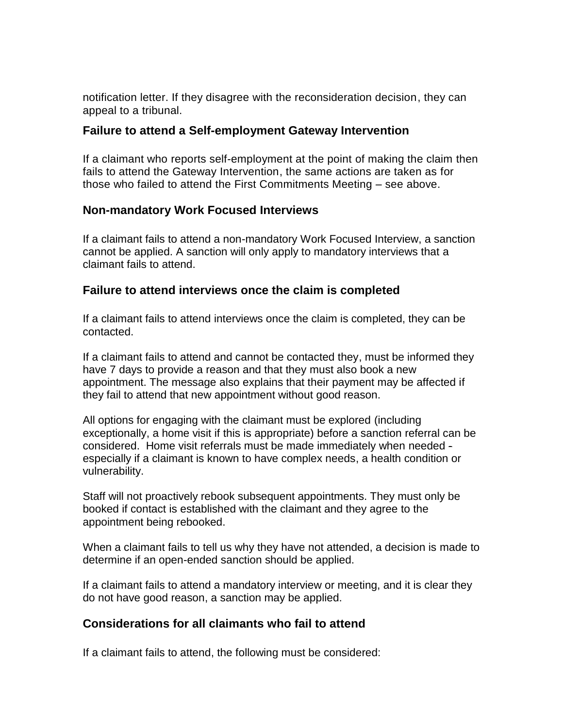notification letter. If they disagree with the reconsideration decision, they can appeal to a tribunal.

#### <span id="page-2-0"></span>**Failure to attend a Self-employment Gateway Intervention**

If a claimant who reports self-employment at the point of making the claim then fails to attend the Gateway Intervention, the same actions are taken as for those who failed to attend the First Commitments Meeting – see above.

#### <span id="page-2-1"></span>**Non-mandatory Work Focused Interviews**

If a claimant fails to attend a non-mandatory Work Focused Interview, a sanction cannot be applied. A sanction will only apply to mandatory interviews that a claimant fails to attend.

# <span id="page-2-2"></span>**Failure to attend interviews once the claim is completed**

If a claimant fails to attend interviews once the claim is completed, they can be contacted.

If a claimant fails to attend and cannot be contacted they, must be informed they have 7 days to provide a reason and that they must also book a new appointment. The message also explains that their payment may be affected if they fail to attend that new appointment without good reason.

All options for engaging with the claimant must be explored (including exceptionally, a home visit if this is appropriate) before a sanction referral can be considered. Home visit referrals must be made immediately when needed especially if a claimant is known to have complex needs, a health condition or vulnerability.

Staff will not proactively rebook subsequent appointments. They must only be booked if contact is established with the claimant and they agree to the appointment being rebooked.

When a claimant fails to tell us why they have not attended, a decision is made to determine if an open-ended sanction should be applied.

If a claimant fails to attend a mandatory interview or meeting, and it is clear they do not have good reason, a sanction may be applied.

# <span id="page-2-3"></span>**Considerations for all claimants who fail to attend**

If a claimant fails to attend, the following must be considered: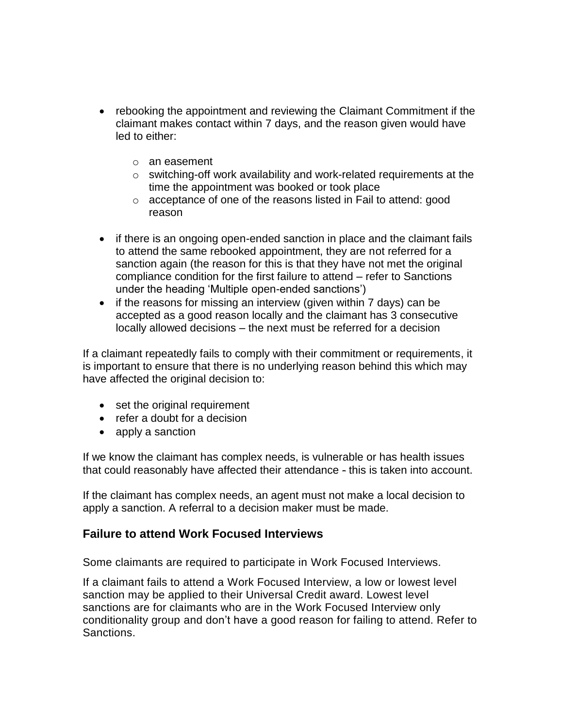- rebooking the appointment and reviewing the Claimant Commitment if the claimant makes contact within 7 days, and the reason given would have led to either:
	- o an easement
	- o switching-off work availability and work-related requirements at the time the appointment was booked or took place
	- o acceptance of one of the reasons listed in Fail to attend: good reason
- if there is an ongoing open-ended sanction in place and the claimant fails to attend the same rebooked appointment, they are not referred for a sanction again (the reason for this is that they have not met the original compliance condition for the first failure to attend – refer to Sanctions under the heading 'Multiple open-ended sanctions')
- if the reasons for missing an interview (given within 7 days) can be accepted as a good reason locally and the claimant has 3 consecutive locally allowed decisions – the next must be referred for a decision

If a claimant repeatedly fails to comply with their commitment or requirements, it is important to ensure that there is no underlying reason behind this which may have affected the original decision to:

- set the original requirement
- refer a doubt for a decision
- apply a sanction

If we know the claimant has complex needs, is vulnerable or has health issues that could reasonably have affected their attendance - this is taken into account.

If the claimant has complex needs, an agent must not make a local decision to apply a sanction. A referral to a decision maker must be made.

# <span id="page-3-0"></span>**Failure to attend Work Focused Interviews**

Some claimants are required to participate in Work Focused Interviews.

If a claimant fails to attend a Work Focused Interview, a low or lowest level sanction may be applied to their Universal Credit award. Lowest level sanctions are for claimants who are in the Work Focused Interview only conditionality group and don't have a good reason for failing to attend. Refer to Sanctions.